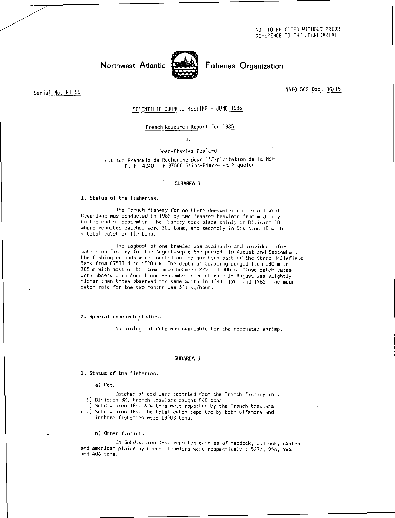NOT TO BE **CITED WITHOUT** PRIOR REFERENCE TO THE SECRETARIAT

Northwest Atlantic **WARGER** Fisheries Organization



Serial No. N11<u>55</u> NAFO SCS Doc. 86/15

## SCIENTIFIC COUNCIL MEETING - JUNE 1986

### French Research Report for 1985

by

## Jean-Charles Poulard

Institut Francais de Recherche pour 1 'Exploitation de la Mer B. P. 4240 - F 97500 Saint-Pierre et Miquelon

### **SUBAREA 1**

# **1. Status of the fisheries.**

**The** French fishery for northern deepwater shrimp off West Greenland was conducted in 1985 by two freezer trawlers from mid-July to the end of September. the fishery took place mainly in Division 1B where reported catches were 301 tons, and secondly in Division IC with a total catch of 115 tons.

The logbook of one trawler was available and provided information on fishery for the August-September period. In August and September, the fishing grounds were located on the northern part of the Store Hellefiske Bank from 67°08 N to 68'00 N. The depth of trawling ranged from 180 m to 385 m with most of the tows made between 225 and 300 m. Close catch rates were observed in August and September ; catch rate in August was slightly higher than those observed the same month in 1980, 1981 and 1982. The mean catch rate for the two months was 341 **kg/hour.** 

## **2. Special research studies.**

No biological data was available for the deepwater shrimp.

## **SUBAREA 3**

**1. Status of the fisheries.** 

**a) Cod.** 

- Catches of cod were reported from the French fishery in : i) Division 3K, French trawlers caught 880 tons
- ii) Subdivision 3Pn, 624 tons were reported by the French trawlers
- iii) Subdivision 3Ps, the total catch reported by both offshore and

inshore fisheries were 18508 tons.

## **b) Other finfish.**

In Subdivision 3Ps, reported catches of haddock, pollock, skates and american plaice by French trawlers were respectively : 5272, 956, 944 and 406 tons.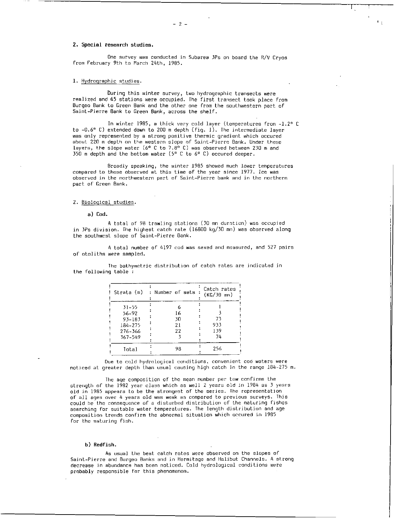## 2. Special research studies.

One survey was conducted in Subarea 3Ps on board the R/V Cryos from February 9th to March 24th, 1985.

 $-2 -$ 

 $\mathbb{F}_4$ 

## 1. Hydrographic studies.

During this winter survey, two hydrographic transects were realized and 45 stations were occupied. The first transect took place from Burgeo Bank to Green Bank and the other one from the southwestern part of Saint-Pierre Bank to Green Bank, across the shelf.

In winter 1985, a thick very cold layer (temperatures from -1.2° C to -0.6° C) extended down to 200 m depth (fig. 1). The intermediate layer was only represented by a strong positive thermic gradient which occured about 220 m depth on the western slope of Saint-Pierre Bank. Under these Layers, the slope water (6° C to 7.8° C) was observed between 230 m and 350 m depth and the bottom water ( $5^{\circ}$  C to  $6^{\circ}$  C) occured deeper.

Broadly speaking, the winter 1985 showed much lower temperatures compared to those observed at this time of the year since 1977. Ice was observed in the northwestern part of Saint-Pierre hank and in the northern part of Green Bank.

### 2. Biological studies.

#### a) Cod.

A total of 98 trawling stations (30 an duration) was occupied in 3Ps division. The highest catch rate (16800 kg/30 mn) was observed along the southwest slope of Saint-Pierre Bank.

A total number of 4197 cod was sexed and measured, and 527 pairs of otoliths were sampled.

The bathymetric distribution of catch rates are indicated in the following table :

| Strata (m) | : Number of sets | Catch rates<br>$(KG/30 \, \text{mn})$ |
|------------|------------------|---------------------------------------|
| 31-55      |                  |                                       |
| 56-92      | 16               |                                       |
| 93-183     | 30               | 73                                    |
| 184-275    | 21               | 933                                   |
| 276-366    | 22               | 139                                   |
| 367-549    |                  | 74                                    |
| Intal      | 98               | 256                                   |

Due to cold hydrological conditions, convenient cod waters were noticed at greater depth than usual causing high catch in the range 184-275 m.

The age composition of the mean number per tow confirms the strength of the 1982 year class which as well 2 years old in 1984 as 3 years old in 1985 appears to be the strongest of the series. The representation of all ages over 4 years old was weak as compared to previous surveys. This could he the consequence of a disturbed distribution of the maturing fishes searching for suitable water temperatures. The length distribution and age composition trends confirm the abnormal situation which occured in 1985 for the maturing fish.

### b) Redfish.

As usual the best catch rates were observed on the slopes of Saint-Pierre and Burgeo Banks and in Hermitage and Halibut Channels. A strong decrease in abundance has been noticed. Cold hydrological conditions were probably responsible for this phenomenon.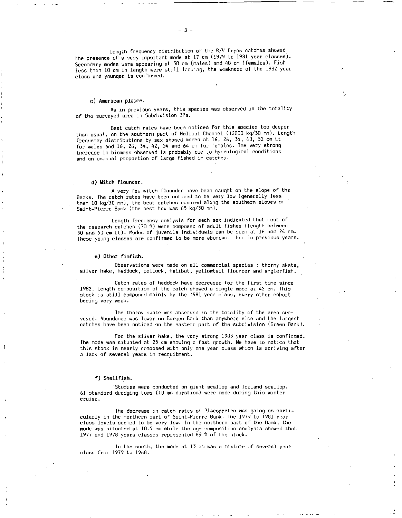Length frequency distribution of the R/V Cryos catches showed the presence of a very important mode at 17 cm (1979 to 1981 year classes). Secondary modes were appearing at 30 cm (males) and 40 cm (females). Fish less than 10 cm in length were still lacking, the weakness of the 1982 year class and younger is confirmed.

## **c) American plaice.**

As in previous years, this species was observed in the totality of the surveyed area in Subdivision 3Ps.

Best catch rates have been noticed for this species too deeper than usual, on the southern part of Halibut Channel (12000 kg/30 mn). Length frequency distributions by sex showed modes at 16, 26, 34, 40, 52 cm Lt for males and 16, 26, 34, 42, 54 and 64 cm for females. The very strong increase in biomass observed is probably due to hydrological conditions end an unusual proportion of large fished in catches.

## **d) Witch flounder.**

A very few witch flounder have been caught on the slope of the Banks. The catch rates have been noticed to be very low (generally less than 10 kg/30 mn), the best catches occured along the southern slopes of Saint-Pierre Bank (the best tow was 65 kg/30 mn).

Length frequency analysis for each sex indicated that most of the research catches (70 %) were composed of adult fishes (length between **30 and 50 cm Lt). Modes of juvenile individuals can be seen at 16 and 24 cm.** These young classes are confirmed to be more abundant than in previous years.

### **e) Other finfish.**

Observations were made on all commercial species : thorny skate, silver hake, haddock, pollock, halibut, yellowtail flounder and anglerfish.

Catch rates of haddock have decreased for the first time since 1982. Length composition of the catch showed a single mode at 42 cm. This stock is still composed mainly by the 1981 year class, every other cohort beeing very weak.

The thorny skate was observed in the totality of the area surveyed. Abundance was lower on Burgeo Bank than anywhere else and the largest catches have been noticed on the eastern part of the .subdivision (Green Bank).

For the silver hake, the very strong 1983 year class is confirmed. **The** mode was situated at 25 cm showing a fast growth. We have to notice that this stock is nearly composed with only one year class which is arriving after a lack of several years in recruitment.

### **f) Shellfish.**

'Studies were conducted on giant scallop and Iceland scallop. 61 standard dredging tows (10 mn duration) were made during this winter cruise.

The decrease in catch rates of Placopecten was going on particularly in the northern part of Saint-Pierre Bank. The 1979 to 1981 year class levels seemed to be very low. In the northern part of the Bank, the mode was situated at 10.5 cm while the age composition analysis showed that 1977 and 1978 years classes represented 89 % of the stock.

In the south, the mode at 13 cm was a mixture of several year class from 1979 to 1968.

 $-3-$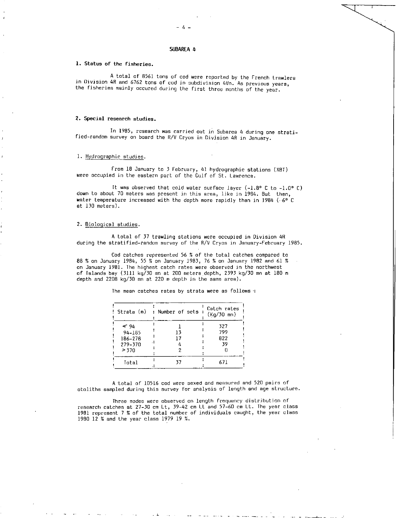# **SUBAREA 4**

## **1. Status of the fisheries.**

A total of 8561 tons of cod were reported by the French trawlers in Division 4R and 6762 tons of cod in subdivision 4Vn. As previous years, the fisheries mainly occured during the first three months of the year.

## **2. Special research studies.**

**In** 1985, research was carried out in Subarea 4 during one stratified-random survey on board the R/V Cryos in Division 4R in January.

### 1. Hydrographic studies.

From **18** January to 3 February, 41 hydrographic stations (XBT) were occupied in the eastern part of the Gulf of St. Lawrence.

It was observed that cold water surface layer (-1.8° C to -1.0° C) down to about 70 meters was present in this area, like in 1984. But then, water temperature increased with the depth more rapidly than in 1984 ( $-6^{\circ}$  C at 130 meters).

## 2. Biological studies.

A total of 37 trawling stations were occupied in Division 4R during the stratified-random survey of the R/V Cryos in January-February 1985.

Cod catches represented 56 % of the total catches compared to 88 % on January 1984, 55 % on January 1983, 76 % on January 1982 and 61 % on January 1981. The highest catch rates were observed in the northwest of Islands bay (3111 kg/30 mn at 200 meters depth, 2393 kg/30 mn at 180 m depth and 2208 kg/30 mn at 220 m depth in the same area).

> Strata (m) : Number of sets : Catch rates  $(Kq/30 \text{ mm})$ **• <94** 1 *•* <sup>327</sup>  $94-185$   $\frac{13}{15}$ <br>186-278  $\frac{13}{17}$ *• •* 799 186-278 17 279-370 17 4 39  $279-370$   $4$   $1$   $39$ <br> $>370$   $2$   $1$  0  $> 370$  $\begin{array}{ccc} \text{Total} & \begin{array}{c} 1 \\ 1 \end{array} & \begin{array}{c} 37 \\ 57 \end{array} & \begin{array}{c} 1 \\ 1 \end{array} & \begin{array}{c} 671 \\ 1 \end{array} \end{array}$

The mean catches rates by strata were as follows  $\cdot$ 

A total of 10516 cod were sexed and measured and 520 pairs of otoliths sampled during this survey for analysis of length and age structure.

Three modes were observed on length frequency distribution of research catches at 27-30 cm Lt, 39-42 cm Lt and 57-60 cm Lt. The year class 1981 represent 7 % of the total number of individuals caught, the year class 1980 12 % and the year class 1979 19 %.